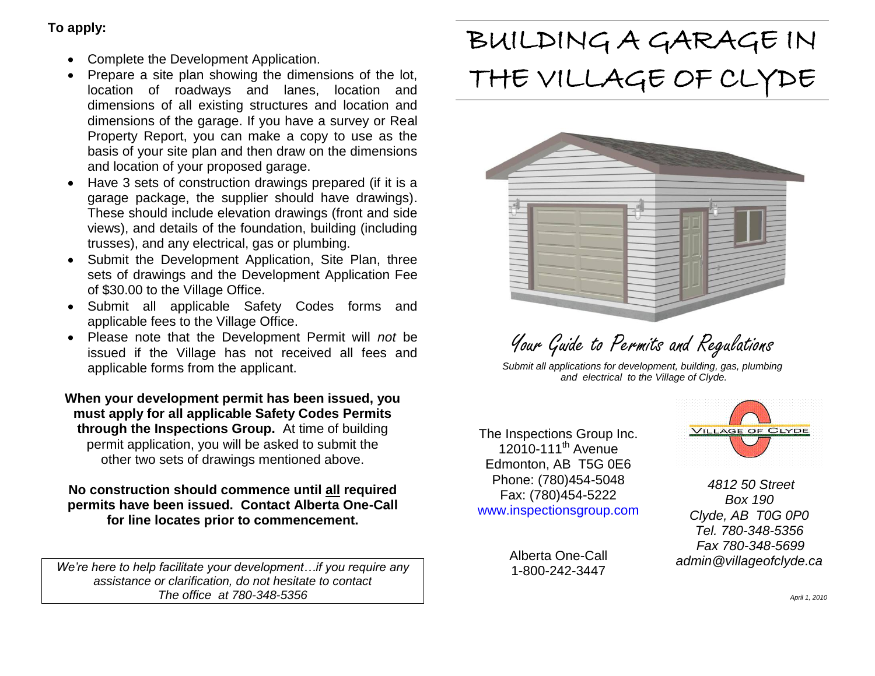## **To apply:**

- Complete the Development Application.
- Prepare a site plan showing the dimensions of the lot, location of roadways and lanes, location and dimensions of all existing structures and location and dimensions of the garage. If you have a survey or Real Property Report, you can make a copy to use as the basis of your site plan and then draw on the dimensions and location of your proposed garage.
- Have 3 sets of construction drawings prepared (if it is a garage package, the supplier should have drawings). These should include elevation drawings (front and side views), and details of the foundation, building (including trusses), and any electrical, gas or plumbing.
- Submit the Development Application, Site Plan, three sets of drawings and the Development Application Fee of \$30.00 to the Village Office.
- Submit all applicable Safety Codes forms and applicable fees to the Village Office.
- Please note that the Development Permit will *not* be issued if the Village has not received all fees and applicable forms from the applicant.

**When your development permit has been issued, you must apply for all applicable Safety Codes Permits through the Inspections Group.** At time of building permit application, you will be asked to submit the other two sets of drawings mentioned above.

**No construction should commence until all required permits have been issued. Contact Alberta One-Call for line locates prior to commencement.**

*We're here to help facilitate your development…if you require any assistance or clarification, do not hesitate to contact The office at 780-348-5356*

# BUILDING A GARAGE IN THE VILLAGE OF CLYDE



Your Guide to Permits and Regulations

*Submit all applications for development, building, gas, plumbing and electrical to the Village of Clyde.*

The Inspections Group Inc.  $12010-111^{th}$  Avenue Edmonton, AB T5G 0E6 Phone: (780)454-5048 Fax: (780)454-5222 www.inspectionsgroup.com

> Alberta One-Call 1-800-242-3447



*4812 50 Street Box 190 Clyde, AB T0G 0P0 Tel. 780-348-5356 Fax 780-348-5699 admin@villageofclyde.ca*